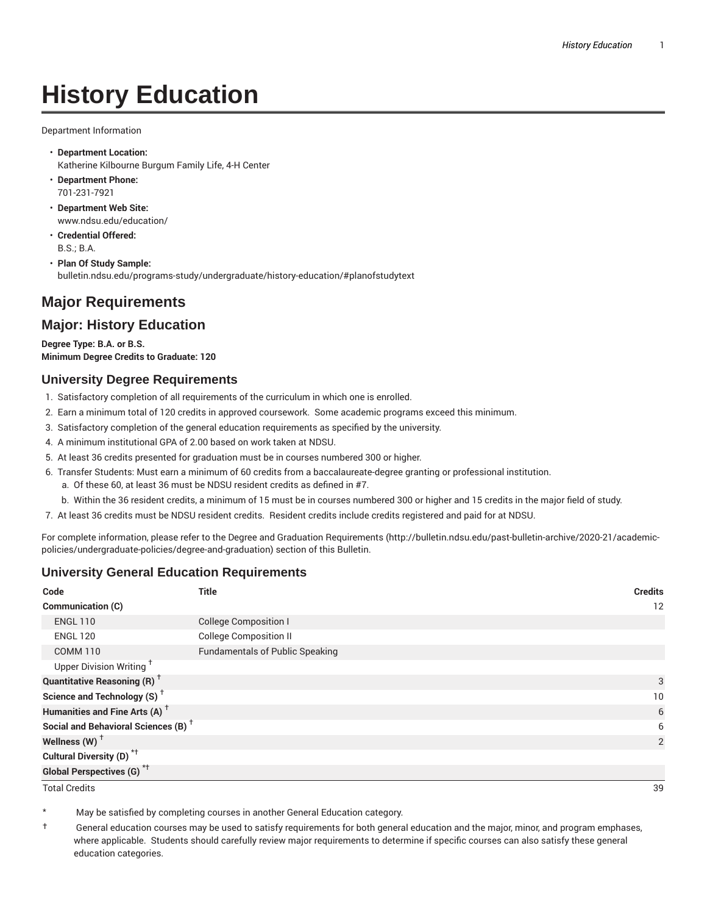# **History Education**

Department Information

- **Department Location:** Katherine Kilbourne Burgum Family Life, 4-H Center
- **Department Phone:** 701-231-7921
- **Department Web Site:** www.ndsu.edu/education/
- **Credential Offered:** B.S.; B.A.
- **Plan Of Study Sample:** bulletin.ndsu.edu/programs-study/undergraduate/history-education/#planofstudytext

## **Major Requirements**

### **Major: History Education**

**Degree Type: B.A. or B.S. Minimum Degree Credits to Graduate: 120**

#### **University Degree Requirements**

- 1. Satisfactory completion of all requirements of the curriculum in which one is enrolled.
- 2. Earn a minimum total of 120 credits in approved coursework. Some academic programs exceed this minimum.
- 3. Satisfactory completion of the general education requirements as specified by the university.
- 4. A minimum institutional GPA of 2.00 based on work taken at NDSU.
- 5. At least 36 credits presented for graduation must be in courses numbered 300 or higher.
- 6. Transfer Students: Must earn a minimum of 60 credits from a baccalaureate-degree granting or professional institution.
	- a. Of these 60, at least 36 must be NDSU resident credits as defined in #7.
	- b. Within the 36 resident credits, a minimum of 15 must be in courses numbered 300 or higher and 15 credits in the major field of study.
- 7. At least 36 credits must be NDSU resident credits. Resident credits include credits registered and paid for at NDSU.

For complete information, please refer to the Degree and Graduation Requirements (http://bulletin.ndsu.edu/past-bulletin-archive/2020-21/academicpolicies/undergraduate-policies/degree-and-graduation) section of this Bulletin.

#### **University General Education Requirements**

| Code                                            | <b>Title</b>                           | <b>Credits</b>  |
|-------------------------------------------------|----------------------------------------|-----------------|
| <b>Communication (C)</b>                        |                                        | 12              |
| <b>ENGL 110</b>                                 | <b>College Composition I</b>           |                 |
| <b>ENGL 120</b>                                 | <b>College Composition II</b>          |                 |
| <b>COMM 110</b>                                 | <b>Fundamentals of Public Speaking</b> |                 |
| Upper Division Writing <sup>+</sup>             |                                        |                 |
| <b>Quantitative Reasoning (R)</b> <sup>†</sup>  |                                        | 3               |
| Science and Technology (S) <sup>+</sup>         |                                        | 10 <sup>°</sup> |
| Humanities and Fine Arts (A) <sup>+</sup>       |                                        | 6               |
| Social and Behavioral Sciences (B) <sup>+</sup> |                                        | 6               |
| Wellness $(W)$ <sup>+</sup>                     |                                        | 2               |
| Cultural Diversity (D) <sup>*†</sup>            |                                        |                 |
| <b>Global Perspectives (G)<sup>*†</sup></b>     |                                        |                 |

Total Credits 39

May be satisfied by completing courses in another General Education category.

† General education courses may be used to satisfy requirements for both general education and the major, minor, and program emphases, where applicable. Students should carefully review major requirements to determine if specific courses can also satisfy these general education categories.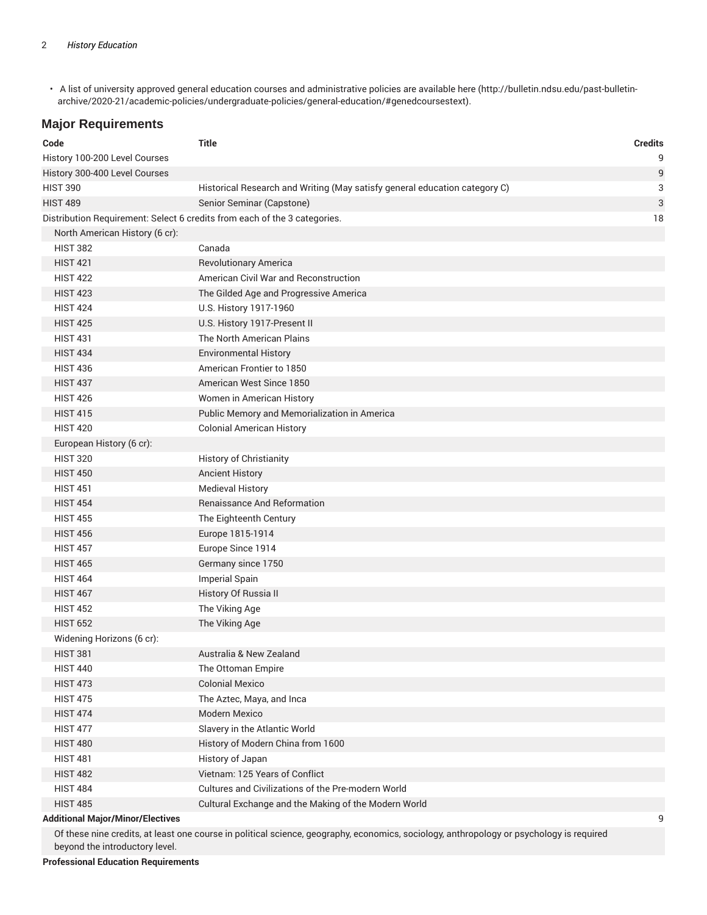• A list of university approved general education courses and administrative policies are available here (http://bulletin.ndsu.edu/past-bulletinarchive/2020-21/academic-policies/undergraduate-policies/general-education/#genedcoursestext).

#### **Major Requirements**

| Code                                                                      | <b>Title</b>                                                               | <b>Credits</b> |
|---------------------------------------------------------------------------|----------------------------------------------------------------------------|----------------|
| History 100-200 Level Courses                                             |                                                                            | 9              |
| History 300-400 Level Courses                                             |                                                                            | 9              |
| <b>HIST 390</b>                                                           | Historical Research and Writing (May satisfy general education category C) | 3              |
| <b>HIST 489</b>                                                           | Senior Seminar (Capstone)                                                  | 3              |
| Distribution Requirement: Select 6 credits from each of the 3 categories. |                                                                            | 18             |
| North American History (6 cr):                                            |                                                                            |                |
| <b>HIST 382</b>                                                           | Canada                                                                     |                |
| <b>HIST 421</b>                                                           | <b>Revolutionary America</b>                                               |                |
| <b>HIST 422</b>                                                           | American Civil War and Reconstruction                                      |                |
| <b>HIST 423</b>                                                           | The Gilded Age and Progressive America                                     |                |
| <b>HIST 424</b>                                                           | U.S. History 1917-1960                                                     |                |
| <b>HIST 425</b>                                                           | U.S. History 1917-Present II                                               |                |
| <b>HIST 431</b>                                                           | The North American Plains                                                  |                |
| <b>HIST 434</b>                                                           | <b>Environmental History</b>                                               |                |
| <b>HIST 436</b>                                                           | American Frontier to 1850                                                  |                |
| <b>HIST 437</b>                                                           | American West Since 1850                                                   |                |
| <b>HIST 426</b>                                                           | Women in American History                                                  |                |
| <b>HIST 415</b>                                                           | Public Memory and Memorialization in America                               |                |
| <b>HIST 420</b>                                                           | <b>Colonial American History</b>                                           |                |
| European History (6 cr):                                                  |                                                                            |                |
| <b>HIST 320</b>                                                           | History of Christianity                                                    |                |
| <b>HIST 450</b>                                                           | <b>Ancient History</b>                                                     |                |
| <b>HIST 451</b>                                                           | <b>Medieval History</b>                                                    |                |
| <b>HIST 454</b>                                                           | <b>Renaissance And Reformation</b>                                         |                |
| <b>HIST 455</b>                                                           | The Eighteenth Century                                                     |                |
| <b>HIST 456</b>                                                           | Europe 1815-1914                                                           |                |
| <b>HIST 457</b>                                                           | Europe Since 1914                                                          |                |
| <b>HIST 465</b>                                                           | Germany since 1750                                                         |                |
| <b>HIST 464</b>                                                           | Imperial Spain                                                             |                |
| <b>HIST 467</b>                                                           | History Of Russia II                                                       |                |
| <b>HIST 452</b>                                                           | The Viking Age                                                             |                |
| <b>HIST 652</b>                                                           | The Viking Age                                                             |                |
| Widening Horizons (6 cr):                                                 |                                                                            |                |
| <b>HIST 381</b>                                                           | Australia & New Zealand                                                    |                |
| <b>HIST 440</b>                                                           | The Ottoman Empire                                                         |                |
| <b>HIST 473</b>                                                           | <b>Colonial Mexico</b>                                                     |                |
| <b>HIST 475</b>                                                           | The Aztec, Maya, and Inca                                                  |                |
| <b>HIST 474</b>                                                           | Modern Mexico                                                              |                |
| <b>HIST 477</b>                                                           | Slavery in the Atlantic World                                              |                |
| <b>HIST 480</b>                                                           | History of Modern China from 1600                                          |                |
| <b>HIST 481</b>                                                           | History of Japan                                                           |                |
| <b>HIST 482</b>                                                           | Vietnam: 125 Years of Conflict                                             |                |
| <b>HIST 484</b>                                                           | Cultures and Civilizations of the Pre-modern World                         |                |
| <b>HIST 485</b>                                                           | Cultural Exchange and the Making of the Modern World                       |                |
| <b>Additional Major/Minor/Electives</b>                                   |                                                                            | 9              |

Of these nine credits, at least one course in political science, geography, economics, sociology, anthropology or psychology is required beyond the introductory level.

**Professional Education Requirements**